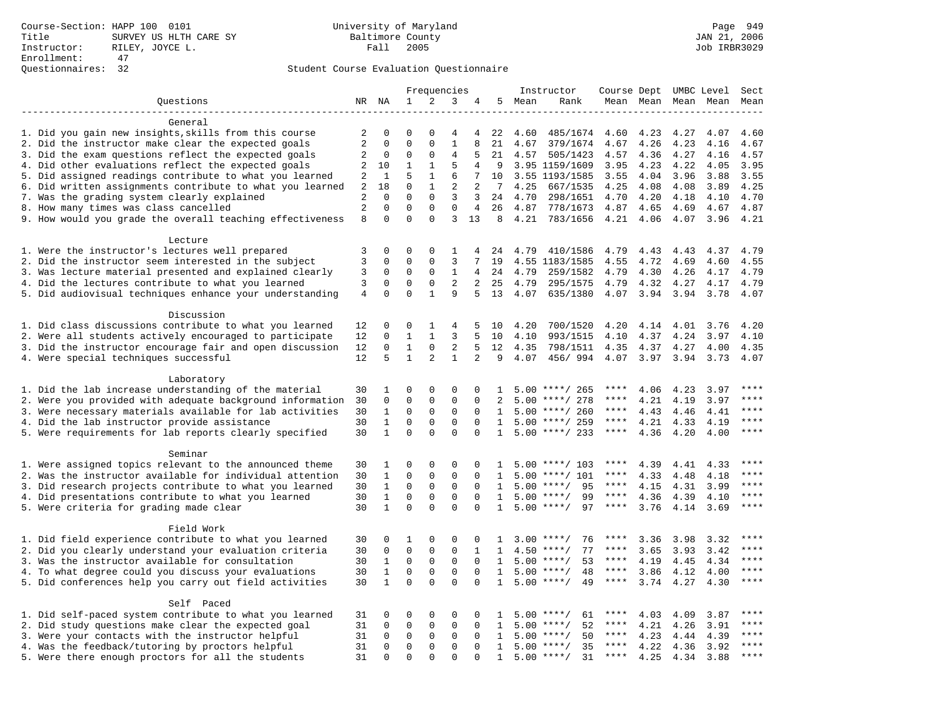### Student Course Evaluation Questionnaire

|                                                           | Frequencies    |              | Instructor              |              |                   |                | Course Dept UMBC Level |      | Sect               |             |           |      |           |              |
|-----------------------------------------------------------|----------------|--------------|-------------------------|--------------|-------------------|----------------|------------------------|------|--------------------|-------------|-----------|------|-----------|--------------|
| Questions                                                 |                | NR NA        | $\mathbf{1}$            | 2            | 3                 | 4              | 5                      | Mean | Rank               |             | Mean Mean |      | Mean Mean | Mean         |
|                                                           |                |              |                         |              |                   |                |                        |      |                    |             |           |      |           |              |
| General                                                   |                |              |                         |              |                   |                |                        |      |                    |             |           |      |           |              |
| 1. Did you gain new insights, skills from this course     | 2              | 0            | $\Omega$                | O            | 4                 | 4              | 22                     | 4.60 | 485/1674           | 4.60        | 4.23      | 4.27 | 4.07      | 4.60         |
| 2. Did the instructor make clear the expected goals       | 2              | $\mathbf 0$  | $\mathbf 0$             | $\mathbf{0}$ | $\mathbf{1}$      | 8              | 21                     | 4.67 | 379/1674           | 4.67        | 4.26      | 4.23 | 4.16      | 4.67         |
| 3. Did the exam questions reflect the expected goals      | 2              | $\mathbf 0$  | 0                       | $\mathbf 0$  | 4                 | 5              | 21                     | 4.57 | 505/1423           | 4.57        | 4.36      | 4.27 | 4.16      | 4.57         |
| 4. Did other evaluations reflect the expected goals       | 2              | 10           | $\mathbf 1$             | $\mathbf{1}$ | 5                 | 4              | 9                      |      | 3.95 1159/1609     | 3.95        | 4.23      | 4.22 | 4.05      | 3.95         |
| 5. Did assigned readings contribute to what you learned   | $\sqrt{2}$     | 1            | 5                       | $\mathbf{1}$ | 6                 | 7              | 10                     |      | 3.55 1193/1585     | 3.55        | 4.04      | 3.96 | 3.88      | 3.55         |
| 6. Did written assignments contribute to what you learned | 2              | 18           | $\mathbf 0$             | $\mathbf{1}$ | 2                 | 2              | 7                      | 4.25 | 667/1535           | 4.25        | 4.08      | 4.08 | 3.89      | 4.25         |
| 7. Was the grading system clearly explained               | 2              | $\Omega$     | $\Omega$                | $\Omega$     | 3                 | 3              | 24                     | 4.70 | 298/1651           | 4.70        | 4.20      | 4.18 | 4.10      | 4.70         |
| 8. How many times was class cancelled                     | 2              | $\mathbf{0}$ | $\mathbf 0$<br>$\Omega$ | $\mathbf{0}$ | $\mathbf{0}$<br>3 | $\overline{4}$ | 26                     | 4.87 | 778/1673           | 4.87        | 4.65      | 4.69 | 4.67      | 4.87         |
| 9. How would you grade the overall teaching effectiveness | 8              | $\Omega$     |                         | $\Omega$     |                   | 13             | 8                      | 4.21 | 783/1656           | 4.21        | 4.06      | 4.07 | 3.96      | 4.21         |
| Lecture                                                   |                |              |                         |              |                   |                |                        |      |                    |             |           |      |           |              |
| 1. Were the instructor's lectures well prepared           | 3              | $\mathbf 0$  | $\mathbf 0$             | $\mathbf{0}$ | 1                 | 4              | 24                     | 4.79 | 410/1586           | 4.79        | 4.43      | 4.43 | 4.37      | 4.79         |
| 2. Did the instructor seem interested in the subject      | 3              | $\mathbf 0$  | $\mathbf 0$             | $\mathbf{0}$ | 3                 | 7              | 19                     |      | 4.55 1183/1585     | 4.55        | 4.72      | 4.69 | 4.60      | 4.55         |
| 3. Was lecture material presented and explained clearly   | 3              | $\mathbf 0$  | 0                       | $\mathbf 0$  | 1                 | 4              | 24                     | 4.79 | 259/1582           | 4.79        | 4.30      | 4.26 | 4.17      | 4.79         |
| 4. Did the lectures contribute to what you learned        | 3              | $\mathbf 0$  | $\mathbf 0$             | $\mathbf 0$  | $\overline{2}$    | 2              | 25                     | 4.79 | 295/1575           | 4.79        | 4.32      | 4.27 | 4.17      | 4.79         |
| 5. Did audiovisual techniques enhance your understanding  | $\overline{4}$ | $\Omega$     | $\Omega$                | $\mathbf{1}$ | 9                 | 5              | 13                     | 4.07 | 635/1380           | 4.07        | 3.94      | 3.94 | 3.78      | 4.07         |
|                                                           |                |              |                         |              |                   |                |                        |      |                    |             |           |      |           |              |
| Discussion                                                |                |              |                         |              |                   |                |                        |      |                    |             |           |      |           |              |
| 1. Did class discussions contribute to what you learned   | 12             | $\mathbf 0$  | 0                       | 1            | 4                 | 5              | 10                     | 4.20 | 700/1520           | 4.20        | 4.14      | 4.01 | 3.76      | 4.20         |
| 2. Were all students actively encouraged to participate   | 12             | $\mathbf 0$  | $\mathbf{1}$            | $\mathbf{1}$ | 3                 | 5              | 10                     | 4.10 | 993/1515           | 4.10        | 4.37      | 4.24 | 3.97      | 4.10         |
| 3. Did the instructor encourage fair and open discussion  | 12             | $\mathbf 0$  | $\mathbf{1}$            | $\mathbf 0$  | $\overline{2}$    | 5              | 12                     | 4.35 | 798/1511           | 4.35        | 4.37      | 4.27 | 4.00      | 4.35         |
| 4. Were special techniques successful                     | 12             | 5            | $\mathbf{1}$            | 2            | $\mathbf{1}$      | $\overline{a}$ | 9                      | 4.07 | 456/994            | 4.07        | 3.97      | 3.94 | 3.73      | 4.07         |
|                                                           |                |              |                         |              |                   |                |                        |      |                    |             |           |      |           |              |
| Laboratory                                                |                |              |                         |              |                   |                |                        |      |                    |             |           |      |           |              |
| 1. Did the lab increase understanding of the material     | 30             | 1            | 0                       | $\Omega$     | 0                 | $\Omega$       | $\mathbf{1}$           |      | $5.00$ ****/ 265   |             | 4.06      | 4.23 | 3.97      | ****         |
| 2. Were you provided with adequate background information | 30             | $\mathbf 0$  | $\mathbf 0$             | $\mathbf{0}$ | $\mathbf 0$       | $\mathbf 0$    | 2                      |      | $5.00$ ****/ 278   | ****        | 4.21      | 4.19 | 3.97      | ****         |
| 3. Were necessary materials available for lab activities  | 30             | $\mathbf{1}$ | $\mathbf 0$             | $\mathbf 0$  | $\mathbf 0$       | $\mathbf 0$    | 1                      |      | $5.00$ ****/ 260   | $***$ * * * | 4.43      | 4.46 | 4.41      | $***$        |
| 4. Did the lab instructor provide assistance              | 30             | $\mathbf{1}$ | $\mathbf 0$             | $\mathbf{0}$ | $\mathbf{0}$      | $\Omega$       | $\mathbf{1}$           |      | $5.00$ ****/ 259   | ****        | 4.21      | 4.33 | 4.19      | $***$ * * *  |
| 5. Were requirements for lab reports clearly specified    | 30             | $\mathbf{1}$ | $\Omega$                | $\Omega$     | $\Omega$          | $\Omega$       | $\mathbf{1}$           |      | $5.00$ ****/ 233   | $***$ * * * | 4.36      | 4.20 | 4.00      | ****         |
|                                                           |                |              |                         |              |                   |                |                        |      |                    |             |           |      |           |              |
| Seminar                                                   |                |              |                         |              |                   |                |                        |      |                    |             |           |      |           |              |
| 1. Were assigned topics relevant to the announced theme   | 30             | 1            | 0                       | $\mathsf 0$  | $\Omega$          | $\Omega$       |                        |      | $5.00$ ****/ 103   | ****        | 4.39      | 4.41 | 4.33      | ****<br>**** |
| 2. Was the instructor available for individual attention  | 30             | $\mathbf{1}$ | 0                       | $\mathsf 0$  | $\mathsf 0$       | 0              | 1                      | 5.00 | ****/ 101          | ****        | 4.33      | 4.48 | 4.18      | ****         |
| 3. Did research projects contribute to what you learned   | 30             | $\mathbf{1}$ | $\mathbf 0$             | $\mathsf 0$  | $\mathbf 0$       | 0              | 1                      |      | 95<br>$5.00$ ****/ | $***$ * * * | 4.15      | 4.31 | 3.99      | $***$ * * *  |
| 4. Did presentations contribute to what you learned       | 30             | $\mathbf{1}$ | $\mathbf 0$             | $\mathbf 0$  | $\mathbf 0$       | $\Omega$       | 1                      | 5.00 | $***$ /<br>99      | $***$ * *   | 4.36      | 4.39 | 4.10      | ****         |
| 5. Were criteria for grading made clear                   | 30             | $\mathbf{1}$ | $\Omega$                | $\Omega$     | $\Omega$          | $\Omega$       | $\mathbf{1}$           |      | $5.00$ ****/<br>97 | ****        | 3.76      | 4.14 | 3.69      |              |
| Field Work                                                |                |              |                         |              |                   |                |                        |      |                    |             |           |      |           |              |
| 1. Did field experience contribute to what you learned    | 30             | $\Omega$     | 1                       | $\Omega$     | $\Omega$          | $\Omega$       | $\mathbf{1}$           |      | $3.00$ ****/<br>76 |             | 3.36      | 3.98 | 3.32      | ****         |
| 2. Did you clearly understand your evaluation criteria    | 30             | $\mathbf 0$  | $\mathbf 0$             | $\mathbf 0$  | $\mathbf 0$       | $\mathbf{1}$   | 1                      | 4.50 | 77<br>$***/$       | ****        | 3.65      | 3.93 | 3.42      | $***$        |
| 3. Was the instructor available for consultation          | 30             | 1            | $\mathbf 0$             | $\mathbf 0$  | $\mathbf 0$       | $\mathbf 0$    | 1                      |      | $5.00$ ****/<br>53 | ****        | 4.19      | 4.45 | 4.34      | ****         |
| 4. To what degree could you discuss your evaluations      | 30             | $\mathbf{1}$ | $\mathbf 0$             | $\mathbf{0}$ | $\mathbf 0$       | $\Omega$       | 1                      |      | $5.00$ ****/<br>48 | $***$ * * * | 3.86      | 4.12 | 4.00      | $***$        |
| 5. Did conferences help you carry out field activities    | 30             | $\mathbf{1}$ | $\Omega$                | $\Omega$     | $\Omega$          | $\Omega$       | $\mathbf{1}$           | 5.00 | 49<br>$* * * * /$  | $***$ * * * | 3.74      | 4.27 | 4.30      | $***$        |
|                                                           |                |              |                         |              |                   |                |                        |      |                    |             |           |      |           |              |
| Self Paced                                                |                |              |                         |              |                   |                |                        |      |                    |             |           |      |           |              |
| 1. Did self-paced system contribute to what you learned   | 31             | 0            | 0                       | $\mathsf 0$  | $\Omega$          | $\Omega$       | $\mathbf{1}$           |      | 61<br>$5.00$ ****/ | ****        | 4.03      | 4.09 | 3.87      | ****         |
| 2. Did study questions make clear the expected goal       | 31             | $\mathbf 0$  | $\mathbf 0$             | $\mathbf 0$  | $\mathbf 0$       | $\mathbf 0$    | 1                      | 5.00 | $***/$<br>52       | $***$ * *   | 4.21      | 4.26 | 3.91      | ****         |
| 3. Were your contacts with the instructor helpful         | 31             | $\mathbf 0$  | $\mathbf 0$             | $\mathbf 0$  | $\mathbf 0$       | $\Omega$       | 1                      | 5.00 | 50<br>$***$ /      | ****        | 4.23      | 4.44 | 4.39      | ****         |
| 4. Was the feedback/tutoring by proctors helpful          | 31             | $\mathbf 0$  | $\mathbf 0$             | $\mathbf 0$  | $\mathbf 0$       | $\Omega$       | $\mathbf{1}$           | 5.00 | $***/$<br>35       | ****        | 4.22      | 4.36 | 3.92      | ****         |
| 5. Were there enough proctors for all the students        | 31             | $\Omega$     | $\Omega$                | $\Omega$     | $\Omega$          |                | $\mathbf{1}$           |      | $5.00$ ****/<br>31 | $***$ * * * | 4.25      | 4.34 | 3.88      | ****         |
|                                                           |                |              |                         |              |                   |                |                        |      |                    |             |           |      |           |              |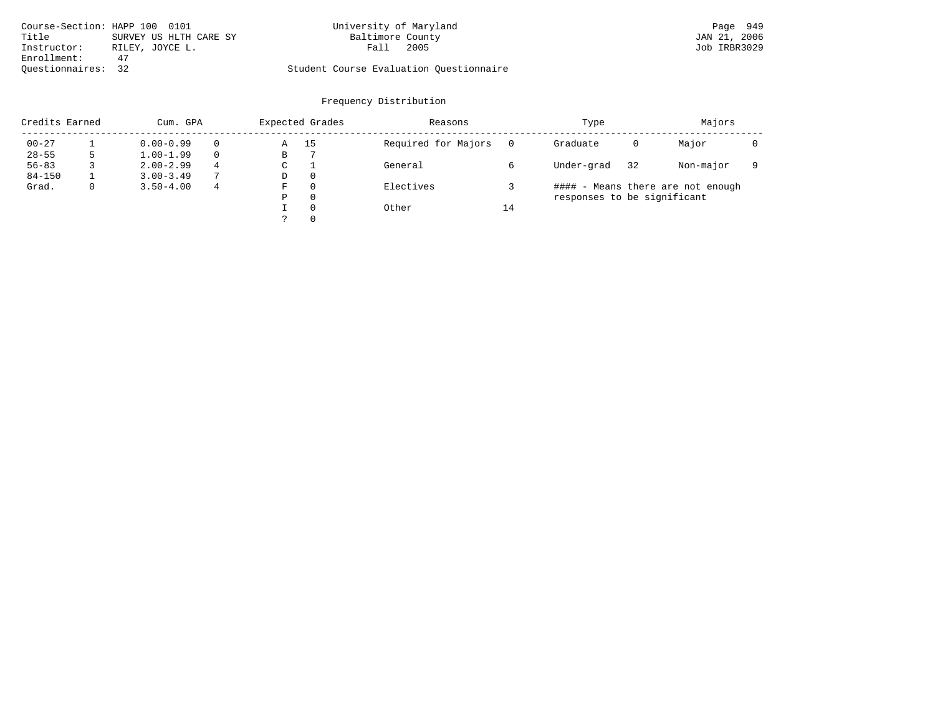| Course-Section: HAPP 100 0101   | University of Maryland                  | Page 949     |
|---------------------------------|-----------------------------------------|--------------|
| Title<br>SURVEY US HLTH CARE SY | Baltimore County                        | JAN 21, 2006 |
| Instructor:<br>RILEY, JOYCE L.  | 2005<br>Fall                            | Job IRBR3029 |
| Enrollment:                     |                                         |              |
| Ouestionnaires: 32              | Student Course Evaluation Ouestionnaire |              |

| Credits Earned |             | Cum. GPA      |               |   | Expected Grades | Reasons             |    | Type                        | Majors |                                   |  |
|----------------|-------------|---------------|---------------|---|-----------------|---------------------|----|-----------------------------|--------|-----------------------------------|--|
| $00 - 27$      |             | $0.00 - 0.99$ |               | Α | 15              | Required for Majors |    | Graduate                    | 0      | Major                             |  |
| $28 - 55$      |             | $1.00 - 1.99$ |               | В |                 |                     |    |                             |        |                                   |  |
| $56 - 83$      |             | $2.00 - 2.99$ | 4             | C |                 | General             |    | Under-grad                  | 32     | Non-major                         |  |
| $84 - 150$     |             | $3.00 - 3.49$ | $\mathcal{L}$ | D | $\Omega$        |                     |    |                             |        |                                   |  |
| Grad.          | $\mathbf 0$ | $3.50 - 4.00$ | 4             | F | $\Omega$        | Electives           |    |                             |        | #### - Means there are not enough |  |
|                |             |               |               | Ρ | $\Omega$        |                     |    | responses to be significant |        |                                   |  |
|                |             |               |               |   | $\Omega$        | Other               | 14 |                             |        |                                   |  |
|                |             |               |               |   | $\Omega$        |                     |    |                             |        |                                   |  |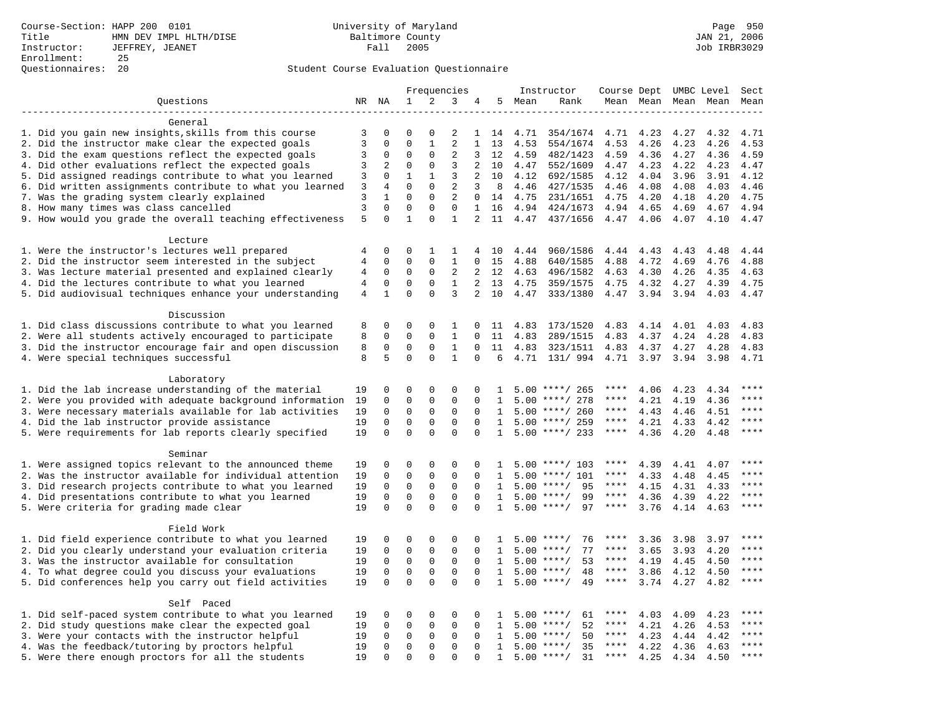## Student Course Evaluation Questionnaire

|                                                                                                                     | Frequencies<br>Instructor |                             |                         | Course Dept UMBC Level  |                   |                          |              | Sect         |                               |              |              |              |              |                        |
|---------------------------------------------------------------------------------------------------------------------|---------------------------|-----------------------------|-------------------------|-------------------------|-------------------|--------------------------|--------------|--------------|-------------------------------|--------------|--------------|--------------|--------------|------------------------|
| Questions                                                                                                           |                           | NR NA                       | $\mathbf{1}$            | 2                       | 3                 | 4                        | 5            | Mean         | Rank                          |              | Mean Mean    |              | Mean Mean    | Mean                   |
|                                                                                                                     |                           |                             |                         |                         |                   |                          |              |              |                               |              |              |              |              |                        |
| General                                                                                                             |                           |                             |                         |                         |                   |                          |              |              |                               |              |              |              |              |                        |
| 1. Did you gain new insights, skills from this course                                                               | 3                         | 0                           | $\Omega$                | $\Omega$                | 2                 | 1                        | 14           | 4.71         | 354/1674                      | 4.71         | 4.23         | 4.27         | 4.32         | 4.71                   |
| 2. Did the instructor make clear the expected goals                                                                 | 3                         | $\mathbf 0$                 | $\Omega$                | $\mathbf{1}$            | 2                 | $\mathbf{1}$             | 13           | 4.53         | 554/1674                      | 4.53         | 4.26         | 4.23         | 4.26         | 4.53                   |
| 3. Did the exam questions reflect the expected goals                                                                | 3                         | $\mathbf 0$                 | 0                       | $\Omega$                | $\overline{2}$    | 3                        | 12           | 4.59         | 482/1423                      | 4.59         | 4.36         | 4.27         | 4.36         | 4.59                   |
| 4. Did other evaluations reflect the expected goals                                                                 | 3                         | 2                           | $\mathbf 0$             | $\mathbf 0$             | 3                 | $\overline{a}$           | 10           | 4.47         | 552/1609                      | 4.47         | 4.23         | 4.22         | 4.23         | 4.47                   |
| 5. Did assigned readings contribute to what you learned                                                             | 3                         | $\mathbf 0$                 | $\mathbf{1}$            | $\mathbf{1}$            | 3                 | 2                        | 10           | 4.12         | 692/1585                      | 4.12         | 4.04         | 3.96         | 3.91         | 4.12                   |
| 6. Did written assignments contribute to what you learned                                                           | $\overline{3}$            | $\overline{4}$              | $\mathbf 0$<br>$\Omega$ | $\mathbf 0$<br>$\Omega$ | 2                 | 3                        | 8            | 4.46         | 427/1535                      | 4.46         | 4.08         | 4.08         | 4.03         | 4.46                   |
| 7. Was the grading system clearly explained                                                                         | 3<br>$\overline{3}$       | $\mathbf{1}$<br>$\mathbf 0$ | $\mathbf 0$             | $\mathbf{0}$            | 2<br>$\mathbf{0}$ | $\Omega$<br>$\mathbf{1}$ | 14           | 4.75         | 231/1651                      | 4.75         | 4.20         | 4.18         | 4.20         | 4.75                   |
| 8. How many times was class cancelled<br>9. How would you grade the overall teaching effectiveness                  | 5                         | $\Omega$                    | $\mathbf{1}$            | $\Omega$                | $\mathbf{1}$      | $\overline{2}$           | 16<br>11     | 4.94<br>4.47 | 424/1673<br>437/1656          | 4.94<br>4.47 | 4.65<br>4.06 | 4.69<br>4.07 | 4.67<br>4.10 | 4.94<br>4.47           |
|                                                                                                                     |                           |                             |                         |                         |                   |                          |              |              |                               |              |              |              |              |                        |
| Lecture                                                                                                             |                           |                             |                         |                         |                   |                          |              |              |                               |              |              |              |              |                        |
| 1. Were the instructor's lectures well prepared                                                                     | 4                         | $\mathbf 0$                 | $\mathbf 0$             | 1                       | 1                 | 4                        | 10           | 4.44         | 960/1586                      | 4.44         | 4.43         | 4.43         | 4.48         | 4.44                   |
| 2. Did the instructor seem interested in the subject                                                                | $\overline{4}$            | $\mathbf 0$                 | $\mathbf 0$             | $\mathbf{0}$            | $\mathbf{1}$      | 0                        | 15           | 4.88         | 640/1585                      | 4.88         | 4.72         | 4.69         | 4.76         | 4.88                   |
| 3. Was lecture material presented and explained clearly                                                             | 4                         | 0                           | 0                       | $\mathbf 0$             | 2                 | 2                        | 12           | 4.63         | 496/1582                      | 4.63         | 4.30         | 4.26         | 4.35         | 4.63                   |
| 4. Did the lectures contribute to what you learned                                                                  | 4                         | $\mathbf 0$                 | 0                       | 0                       | 1                 | 2                        | 13           | 4.75         | 359/1575                      | 4.75         | 4.32         | 4.27         | 4.39         | 4.75                   |
| 5. Did audiovisual techniques enhance your understanding                                                            | $\overline{4}$            | $\mathbf{1}$                | $\Omega$                | $\Omega$                | 3                 | $\overline{2}$           | 10           | 4.47         | 333/1380                      | 4.47         | 3.94         | 3.94         | 4.03         | 4.47                   |
|                                                                                                                     |                           |                             |                         |                         |                   |                          |              |              |                               |              |              |              |              |                        |
| Discussion                                                                                                          |                           |                             |                         |                         |                   |                          |              |              |                               |              |              |              |              |                        |
| 1. Did class discussions contribute to what you learned                                                             | 8                         | $\mathbf 0$                 | 0                       | $\mathbf{0}$            | 1                 | 0                        | 11           | 4.83         | 173/1520                      | 4.83         | 4.14         | 4.01         | 4.03         | 4.83                   |
| 2. Were all students actively encouraged to participate                                                             | 8                         | $\mathbf 0$                 | $\mathbf 0$             | $\mathbf 0$             | $\mathbf{1}$      | $\mathbf 0$              | 11           | 4.83         | 289/1515                      | 4.83         | 4.37         | 4.24         | 4.28         | 4.83                   |
| 3. Did the instructor encourage fair and open discussion                                                            | 8                         | 0                           | $\mathbf 0$             | 0                       | $\mathbf{1}$      | $\Omega$                 | 11           | 4.83         | 323/1511                      | 4.83         | 4.37         | 4.27         | 4.28         | 4.83                   |
| 4. Were special techniques successful                                                                               | 8                         | 5                           | $\Omega$                | $\Omega$                | $\mathbf{1}$      | $\Omega$                 | 6            | 4.71         | 131/ 994                      | 4.71         | 3.97         | 3.94         | 3.98         | 4.71                   |
|                                                                                                                     |                           |                             |                         |                         |                   |                          |              |              |                               |              |              |              |              |                        |
| Laboratory                                                                                                          |                           |                             |                         |                         |                   |                          |              |              |                               |              |              |              |              |                        |
| 1. Did the lab increase understanding of the material                                                               | 19                        | 0                           | 0                       | 0                       | 0                 | $\Omega$                 | $\mathbf{1}$ |              | $5.00$ ****/ 265              |              | 4.06         | 4.23         | 4.34         | ****                   |
| 2. Were you provided with adequate background information                                                           | 19                        | $\mathbf 0$                 | $\mathbf 0$             | $\mathbf 0$             | $\mathbf 0$       | $\mathbf 0$              | 1            |              | $5.00$ ****/ 278              | ****         | 4.21         | 4.19         | 4.36         | ****                   |
| 3. Were necessary materials available for lab activities                                                            | 19                        | $\mathbf 0$                 | $\mathbf 0$             | $\mathbf 0$             | $\mathbf 0$       | $\mathbf 0$              | 1            |              | $5.00$ ****/ 260              | $***$ * * *  | 4.43         | 4.46         | 4.51         | $***$                  |
| 4. Did the lab instructor provide assistance                                                                        | 19                        | $\mathbf 0$                 | $\mathbf 0$             | $\mathbf{0}$            | $\mathbf{0}$      | $\Omega$                 | $\mathbf{1}$ |              | $5.00$ ****/ 259              | ****         | 4.21         | 4.33         | 4.42         | $***$ * * *            |
| 5. Were requirements for lab reports clearly specified                                                              | 19                        | $\Omega$                    | $\Omega$                | $\Omega$                | $\Omega$          | $\Omega$                 | $\mathbf{1}$ |              | $5.00$ ****/ 233              | $***$ * * *  | 4.36         | 4.20         | 4.48         | ****                   |
|                                                                                                                     |                           |                             |                         |                         |                   |                          |              |              |                               |              |              |              |              |                        |
| Seminar                                                                                                             |                           |                             | 0                       | $\mathsf 0$             | $\Omega$          | $\Omega$                 |              |              |                               | ****         |              |              |              | ****                   |
| 1. Were assigned topics relevant to the announced theme<br>2. Was the instructor available for individual attention | 19<br>19                  | 0<br>0                      | 0                       | $\mathsf 0$             | $\mathbf 0$       | 0                        | 1            | 5.00         | $5.00$ ****/ 103<br>$***/101$ | ****         | 4.39<br>4.33 | 4.41<br>4.48 | 4.07<br>4.45 | ****                   |
| 3. Did research projects contribute to what you learned                                                             | 19                        | $\mathbf 0$                 | $\mathbf 0$             | $\mathsf 0$             | $\mathbf 0$       | 0                        | 1            |              | 95<br>$5.00$ ****/            | $***$ * * *  | 4.15         | 4.31         | 4.33         | ****                   |
| 4. Did presentations contribute to what you learned                                                                 | 19                        | $\mathbf 0$                 | $\mathbf 0$             | $\mathbf 0$             | 0                 | $\Omega$                 | 1            | 5.00         | $***/$<br>99                  | $***$ * *    | 4.36         | 4.39         | 4.22         | $\star\star\star\star$ |
| 5. Were criteria for grading made clear                                                                             | 19                        | $\mathbf 0$                 | $\Omega$                | $\Omega$                | $\Omega$          | $\Omega$                 | $\mathbf{1}$ |              | $5.00$ ****/<br>97            | ****         | 3.76         | 4.14         | 4.63         | ****                   |
|                                                                                                                     |                           |                             |                         |                         |                   |                          |              |              |                               |              |              |              |              |                        |
| Field Work                                                                                                          |                           |                             |                         |                         |                   |                          |              |              |                               |              |              |              |              |                        |
| 1. Did field experience contribute to what you learned                                                              | 19                        | $\Omega$                    | $\Omega$                | $\Omega$                | $\Omega$          | $\Omega$                 | $\mathbf{1}$ |              | $5.00$ ****/<br>76            | ****         | 3.36         | 3.98         | 3.97         | ****                   |
| 2. Did you clearly understand your evaluation criteria                                                              | 19                        | $\mathbf 0$                 | $\mathbf 0$             | $\mathbf 0$             | $\mathbf 0$       | $\mathbf 0$              | 1            | 5.00         | 77<br>$***$ /                 | ****         | 3.65         | 3.93         | 4.20         | $***$                  |
| 3. Was the instructor available for consultation                                                                    | 19                        | $\mathbf 0$                 | $\mathbf 0$             | 0                       | 0                 | $\mathbf 0$              | 1            | 5.00         | $***/$<br>53                  | ****         | 4.19         | 4.45         | 4.50         | ****                   |
| 4. To what degree could you discuss your evaluations                                                                | 19                        | $\mathbf 0$                 | $\mathbf 0$             | $\mathbf{0}$            | $\mathbf 0$       | $\Omega$                 | 1            |              | $5.00$ ****/<br>48            | $***$ * * *  | 3.86         | 4.12         | 4.50         | $***$                  |
| 5. Did conferences help you carry out field activities                                                              | 19                        | $\Omega$                    | $\Omega$                | $\Omega$                | $\Omega$          | $\Omega$                 | $\mathbf{1}$ | 5.00         | 49<br>$* * * * /$             | $***$ * * *  | 3.74         | 4.27         | 4.82         | $***$                  |
|                                                                                                                     |                           |                             |                         |                         |                   |                          |              |              |                               |              |              |              |              |                        |
| Self Paced                                                                                                          |                           |                             |                         |                         |                   |                          |              |              |                               |              |              |              |              |                        |
| 1. Did self-paced system contribute to what you learned                                                             | 19                        | 0                           | 0                       | $\mathsf 0$             | $\Omega$          | $\Omega$                 | $\mathbf{1}$ |              | 61<br>$5.00$ ****/            | ****         | 4.03         | 4.09         | 4.23         | $***$ * * *            |
| 2. Did study questions make clear the expected goal                                                                 | 19                        | $\mathbf 0$                 | $\mathbf 0$             | $\mathbf 0$             | $\mathbf 0$       | $\mathbf 0$              | 1            | 5.00         | $***/$<br>52                  | $***$ * *    | 4.21         | 4.26         | 4.53         | ****                   |
| 3. Were your contacts with the instructor helpful                                                                   | 19                        | $\mathbf 0$                 | $\mathbf 0$             | $\mathbf 0$             | 0                 | $\Omega$                 | 1            | 5.00         | 50<br>$***$ /                 | ****         | 4.23         | 4.44         | 4.42         | ****                   |
| 4. Was the feedback/tutoring by proctors helpful                                                                    | 19                        | $\mathbf 0$                 | $\mathbf 0$             | $\mathbf 0$             | $\mathbf 0$       | $\Omega$                 | $\mathbf{1}$ | 5.00         | $***/$<br>35                  | ****         | 4.22         | 4.36         | 4.63         | ****                   |
| 5. Were there enough proctors for all the students                                                                  | 19                        | $\mathbf 0$                 | $\Omega$                | $\Omega$                | $\Omega$          |                          | $\mathbf{1}$ |              | $5.00$ ****/<br>31            | $***$ * * *  | 4.25         | 4.34         | 4.50         | ****                   |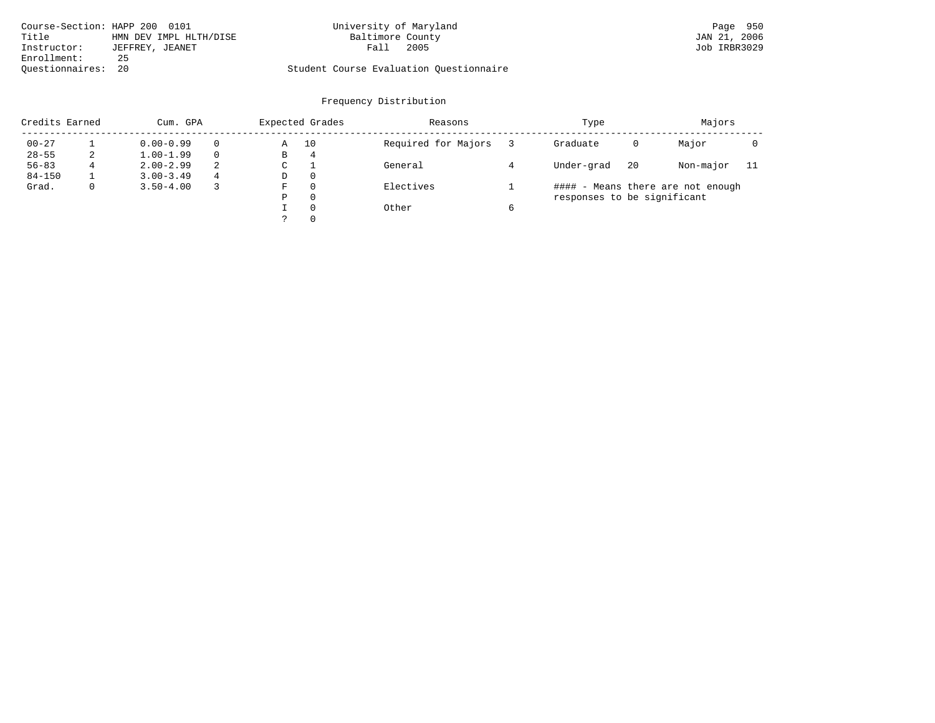| Course-Section: HAPP 200 0101 |                        | University of Maryland                  | Page 950     |
|-------------------------------|------------------------|-----------------------------------------|--------------|
| Title                         | HMN DEV IMPL HLTH/DISE | Baltimore County                        | JAN 21, 2006 |
| Instructor:                   | JEFFREY, JEANET        | 2005<br>Fall                            | Job IRBR3029 |
| Enrollment:                   | 25                     |                                         |              |
| Ouestionnaires: 20            |                        | Student Course Evaluation Questionnaire |              |

| Credits Earned |             | Cum. GPA      |   |   | Expected Grades | Reasons             | Type                        | Majors |                                   |     |
|----------------|-------------|---------------|---|---|-----------------|---------------------|-----------------------------|--------|-----------------------------------|-----|
| $00 - 27$      |             | $0.00 - 0.99$ |   | Α | 10              | Required for Majors | Graduate                    | 0      | Major                             |     |
| $28 - 55$      | 2           | $1.00 - 1.99$ |   | В | 4               |                     |                             |        |                                   |     |
| $56 - 83$      | 4           | $2.00 - 2.99$ | 2 | C |                 | General             | Under-grad                  | 20     | Non-major                         | -11 |
| $84 - 150$     |             | $3.00 - 3.49$ | 4 | D | $\Omega$        |                     |                             |        |                                   |     |
| Grad.          | $\mathbf 0$ | $3.50 - 4.00$ |   | F | $\Omega$        | Electives           |                             |        | #### - Means there are not enough |     |
|                |             |               |   | Ρ | $\Omega$        |                     | responses to be significant |        |                                   |     |
|                |             |               |   |   | $\Omega$        | Other               |                             |        |                                   |     |
|                |             |               |   |   | $\Omega$        |                     |                             |        |                                   |     |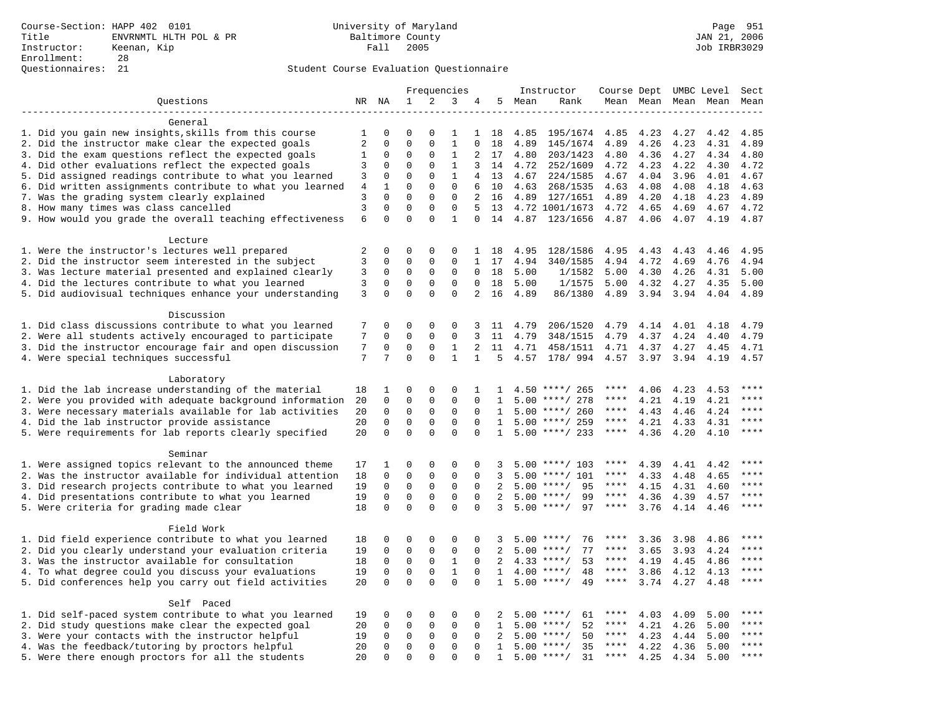## Student Course Evaluation Questionnaire

|                                                                                                                      | Frequencies |                             | Instructor                 | Course Dept UMBC Level      |                             |               |                              | Sect         |                                      |              |              |              |              |              |
|----------------------------------------------------------------------------------------------------------------------|-------------|-----------------------------|----------------------------|-----------------------------|-----------------------------|---------------|------------------------------|--------------|--------------------------------------|--------------|--------------|--------------|--------------|--------------|
| Questions                                                                                                            |             | NR NA                       | $\mathbf 1$                | 2                           | 3                           | 4             |                              | 5 Mean       | Rank                                 |              | Mean Mean    |              | Mean Mean    | Mean         |
|                                                                                                                      |             |                             |                            |                             |                             |               |                              |              |                                      |              |              |              |              |              |
| General                                                                                                              |             |                             |                            |                             |                             |               |                              |              |                                      |              |              |              |              |              |
| 1. Did you gain new insights, skills from this course                                                                | 1           | 0                           | $\Omega$                   | $\Omega$                    | 1                           | 1             | 18                           | 4.85         | 195/1674                             | 4.85         | 4.23         | 4.27         | 4.42         | 4.85         |
| 2. Did the instructor make clear the expected goals                                                                  | 2           | $\mathbf 0$                 | $\Omega$                   | $\Omega$                    | $\mathbf{1}$                | $\Omega$      | 18                           | 4.89         | 145/1674                             | 4.89         | 4.26         | 4.23         | 4.31         | 4.89         |
| 3. Did the exam questions reflect the expected goals                                                                 | 1           | 0<br>$\Omega$               | $\Omega$<br>$\Omega$       | $\Omega$<br>$\Omega$        | 1                           | 2             | 17                           | 4.80         | 203/1423                             | 4.80         | 4.36         | 4.27         | 4.34         | 4.80         |
| 4. Did other evaluations reflect the expected goals                                                                  | 3           |                             |                            | $\mathbf{0}$                | $\mathbf{1}$                | 3             | 14                           | 4.72         | 252/1609                             | 4.72         | 4.23         | 4.22         | 4.30         | 4.72         |
| 5. Did assigned readings contribute to what you learned<br>6. Did written assignments contribute to what you learned | 3<br>$\,4$  | $\mathbf 0$<br>$\mathbf{1}$ | $\mathsf 0$<br>$\mathbf 0$ | $\mathbf{0}$                | $\mathbf{1}$<br>$\mathbf 0$ | 4<br>6        | 13<br>10                     | 4.67<br>4.63 | 224/1585                             | 4.67<br>4.63 | 4.04<br>4.08 | 3.96<br>4.08 | 4.01<br>4.18 | 4.67<br>4.63 |
| 7. Was the grading system clearly explained                                                                          | 3           | $\Omega$                    | $\Omega$                   | $\mathbf 0$                 | $\mathbf 0$                 | 2             | 16                           |              | 268/1535<br>4.89 127/1651            | 4.89         | 4.20         | 4.18         | 4.23         | 4.89         |
| 8. How many times was class cancelled                                                                                | 3           | $\mathbf 0$                 | $\mathbf 0$                | $\mathbf{0}$                | $\mathbf 0$                 | 5             | 13                           |              | 4.72 1001/1673                       | 4.72         | 4.65         | 4.69         | 4.67         | 4.72         |
| 9. How would you grade the overall teaching effectiveness                                                            | 6           | $\Omega$                    | $\Omega$                   | $\Omega$                    | $\mathbf{1}$                | $\Omega$      | 14                           |              | 4.87 123/1656                        | 4.87         | 4.06         | 4.07         | 4.19         | 4.87         |
|                                                                                                                      |             |                             |                            |                             |                             |               |                              |              |                                      |              |              |              |              |              |
| Lecture                                                                                                              |             |                             |                            |                             |                             |               |                              |              |                                      |              |              |              |              |              |
| 1. Were the instructor's lectures well prepared                                                                      | 2           | $\mathbf 0$                 | $\mathbf 0$                | $\mathbf{0}$                | $\mathbf 0$                 |               | 1 18                         | 4.95         | 128/1586                             | 4.95         | 4.43         | 4.43         | 4.46         | 4.95         |
| 2. Did the instructor seem interested in the subject                                                                 | 3           | $\mathbf 0$                 | $\mathbf 0$                | $\mathbf{0}$                | $\mathbf 0$                 | 1             | 17                           | 4.94         | 340/1585                             | 4.94         | 4.72         | 4.69         | 4.76         | 4.94         |
| 3. Was lecture material presented and explained clearly                                                              | 3           | 0                           | 0                          | 0                           | 0                           | 0             | 18                           | 5.00         | 1/1582                               | 5.00         | 4.30         | 4.26         | 4.31         | 5.00         |
| 4. Did the lectures contribute to what you learned                                                                   | 3           | 0                           | 0                          | $\mathbf 0$                 | 0                           | $\Omega$      | 18                           | 5.00         | 1/1575                               | 5.00         | 4.32         | 4.27         | 4.35         | 5.00         |
| 5. Did audiovisual techniques enhance your understanding                                                             | 3           | $\Omega$                    | $\Omega$                   | $\Omega$                    | $\Omega$                    | 2             | 16                           | 4.89         | 86/1380                              | 4.89         | 3.94         | 3.94         | 4.04         | 4.89         |
|                                                                                                                      |             |                             |                            |                             |                             |               |                              |              |                                      |              |              |              |              |              |
| Discussion                                                                                                           |             |                             |                            |                             |                             |               |                              |              |                                      |              |              |              |              |              |
| 1. Did class discussions contribute to what you learned                                                              | 7           | 0                           | 0                          | $\mathbf 0$                 | 0                           | 3             | 11                           | 4.79         | 206/1520                             | 4.79         | 4.14         | 4.01         | 4.18         | 4.79         |
| 2. Were all students actively encouraged to participate                                                              | 7           | $\mathbf 0$                 | $\mathbf 0$                | $\mathbf{0}$                | $\mathbf 0$                 | 3             | 11                           | 4.79         | 348/1515                             | 4.79         | 4.37         | 4.24         | 4.40         | 4.79         |
| 3. Did the instructor encourage fair and open discussion                                                             | 7           | 0                           | 0                          | 0                           | 1                           | 2             | 11                           | 4.71         | 458/1511                             | 4.71         | 4.37         | 4.27         | 4.45         | 4.71         |
| 4. Were special techniques successful                                                                                | 7           | 7                           | $\Omega$                   | $\Omega$                    | $\mathbf{1}$                | $\mathbf{1}$  | 5                            | 4.57         | 178/ 994                             | 4.57         | 3.97         | 3.94         | 4.19         | 4.57         |
|                                                                                                                      |             |                             |                            |                             |                             |               |                              |              |                                      |              |              |              |              |              |
| Laboratory                                                                                                           |             |                             |                            |                             |                             |               |                              |              |                                      |              |              |              |              | ****         |
| 1. Did the lab increase understanding of the material                                                                | 18          | 1                           | 0                          | 0                           | 0                           | 1             | $\mathbf{1}$                 |              | $4.50$ ****/ 265                     | ****<br>**** | 4.06         | 4.23         | 4.53         | ****         |
| 2. Were you provided with adequate background information                                                            | 20          | 0<br>$\mathbf 0$            | $\mathbf 0$                | $\mathsf 0$                 | $\mathbf 0$<br>$\mathbf 0$  | $\mathbf 0$   | 1                            |              | $5.00$ ****/ 278                     | $***$ * * *  | 4.21         | 4.19         | 4.21         | $***$        |
| 3. Were necessary materials available for lab activities                                                             | 20<br>20    | $\mathbf 0$                 | $\mathbf 0$<br>$\mathbf 0$ | $\mathbf 0$<br>$\mathbf{0}$ | $\mathbf 0$                 | 0<br>$\Omega$ | $\mathbf{1}$<br>$\mathbf{1}$ |              | $5.00$ ****/ 260<br>$5.00$ ****/ 259 | ****         | 4.43<br>4.21 | 4.46         | 4.24         | $***$ * * *  |
| 4. Did the lab instructor provide assistance<br>5. Were requirements for lab reports clearly specified               | 20          | $\Omega$                    | $\mathbf 0$                | $\Omega$                    | $\Omega$                    | $\Omega$      | $\mathbf{1}$                 |              | $5.00$ ****/ 233                     | $***$ * * *  | 4.36         | 4.33<br>4.20 | 4.31<br>4.10 | $***$        |
|                                                                                                                      |             |                             |                            |                             |                             |               |                              |              |                                      |              |              |              |              |              |
| Seminar                                                                                                              |             |                             |                            |                             |                             |               |                              |              |                                      |              |              |              |              |              |
| 1. Were assigned topics relevant to the announced theme                                                              | 17          | 1                           | $\mathsf 0$                | $\mathsf 0$                 | $\Omega$                    | $\Omega$      | 3                            |              | $5.00$ ****/ 103                     | ****         | 4.39         | 4.41         | 4.42         | ****         |
| 2. Was the instructor available for individual attention                                                             | 18          | 0                           | $\mathbf 0$                | $\mathsf 0$                 | $\mathbf 0$                 | 0             | 3                            | 5.00         | ****/ 101                            | ****         | 4.33         | 4.48         | 4.65         | ****         |
| 3. Did research projects contribute to what you learned                                                              | 19          | $\mathbf 0$                 | $\mathsf 0$                | 0                           | $\mathbf 0$                 | $\mathbf 0$   | 2                            |              | $5.00$ ****/<br>95                   | $***$ * * *  | 4.15         | 4.31         | 4.60         | ****         |
| 4. Did presentations contribute to what you learned                                                                  | 19          | $\mathbf 0$                 | $\mathbf 0$                | 0                           | 0                           | $\Omega$      | 2                            | 5.00         | $***/$<br>99                         | $***$ * * *  | 4.36         | 4.39         | 4.57         | $***$        |
| 5. Were criteria for grading made clear                                                                              | 18          | $\Omega$                    | $\Omega$                   | $\Omega$                    | $\Omega$                    | $\Omega$      | 3                            |              | $5.00$ ****/<br>97                   | ****         | 3.76         | 4.14         | 4.46         | ****         |
|                                                                                                                      |             |                             |                            |                             |                             |               |                              |              |                                      |              |              |              |              |              |
| Field Work                                                                                                           |             |                             |                            |                             |                             |               |                              |              |                                      |              |              |              |              |              |
| 1. Did field experience contribute to what you learned                                                               | 18          | $\Omega$                    | 0                          | $\Omega$                    | $\Omega$                    | $\Omega$      | 3                            |              | $5.00$ ****/<br>76                   | ****         | 3.36         | 3.98         | 4.86         | ****         |
| 2. Did you clearly understand your evaluation criteria                                                               | 19          | $\mathbf 0$                 | $\mathsf 0$                | $\mathbf 0$                 | $\mathbf 0$                 | $\mathbf 0$   | 2                            | 5.00         | 77<br>$***/$                         | ****         | 3.65         | 3.93         | 4.24         | $***$ * * *  |
| 3. Was the instructor available for consultation                                                                     | 18          | 0                           | 0                          | 0                           | 1                           | $\mathbf 0$   | 2                            |              | $4.33$ ****/<br>53                   | ****         | 4.19         | 4.45         | 4.86         | ****         |
| 4. To what degree could you discuss your evaluations                                                                 | 19          | $\mathbf 0$                 | $\mathbf 0$                | $\mathbf{0}$                | $\mathbf{1}$                | $\Omega$      | 1                            |              | $4.00$ ****/<br>48                   | $***$ * * *  | 3.86         | 4.12         | 4.13         | $***$        |
| 5. Did conferences help you carry out field activities                                                               | 20          | $\Omega$                    | $\Omega$                   | $\Omega$                    | $\Omega$                    | $\Omega$      | $\mathbf{1}$                 | 5.00         | 49<br>$***$ /                        | $***$ * * *  | 3.74         | 4.27         | 4.48         | $***$        |
|                                                                                                                      |             |                             |                            |                             |                             |               |                              |              |                                      |              |              |              |              |              |
| Self Paced                                                                                                           | 19          | 0                           | 0                          | $\Omega$                    | $\Omega$                    | $\Omega$      | 2                            |              | 61<br>$5.00$ ****/                   | ****         | 4.03         |              | 5.00         | $***$ * * *  |
| 1. Did self-paced system contribute to what you learned<br>2. Did study questions make clear the expected goal       | 20          | $\mathbf 0$                 | $\mathbf 0$                | $\mathsf{O}$                | $\mathbf 0$                 | $\mathbf 0$   | 1                            |              | $5.00$ ****/<br>52                   | $***$ * * *  | 4.21         | 4.09<br>4.26 | 5.00         | $***$ * * *  |
| 3. Were your contacts with the instructor helpful                                                                    | 19          | 0                           | 0                          | 0                           | 0                           | $\Omega$      | 2                            | 5.00         | 50<br>$***$ /                        | ****         | 4.23         | 4.44         | 5.00         | ****         |
| 4. Was the feedback/tutoring by proctors helpful                                                                     | 20          | 0                           | $\mathbf 0$                | $\mathbf{0}$                | $\mathbf 0$                 | $\Omega$      | $\mathbf{1}$                 | 5.00         | $***/$<br>35                         | ****         | 4.22         | 4.36         | 5.00         | ****         |
| 5. Were there enough proctors for all the students                                                                   | 20          | $\Omega$                    | $\Omega$                   | $\Omega$                    | $\Omega$                    | $\Omega$      | $\mathbf{1}$                 |              | $5.00$ ****/<br>31                   | $***$ * * *  | 4.25         | 4.34         | 5.00         | ****         |
|                                                                                                                      |             |                             |                            |                             |                             |               |                              |              |                                      |              |              |              |              |              |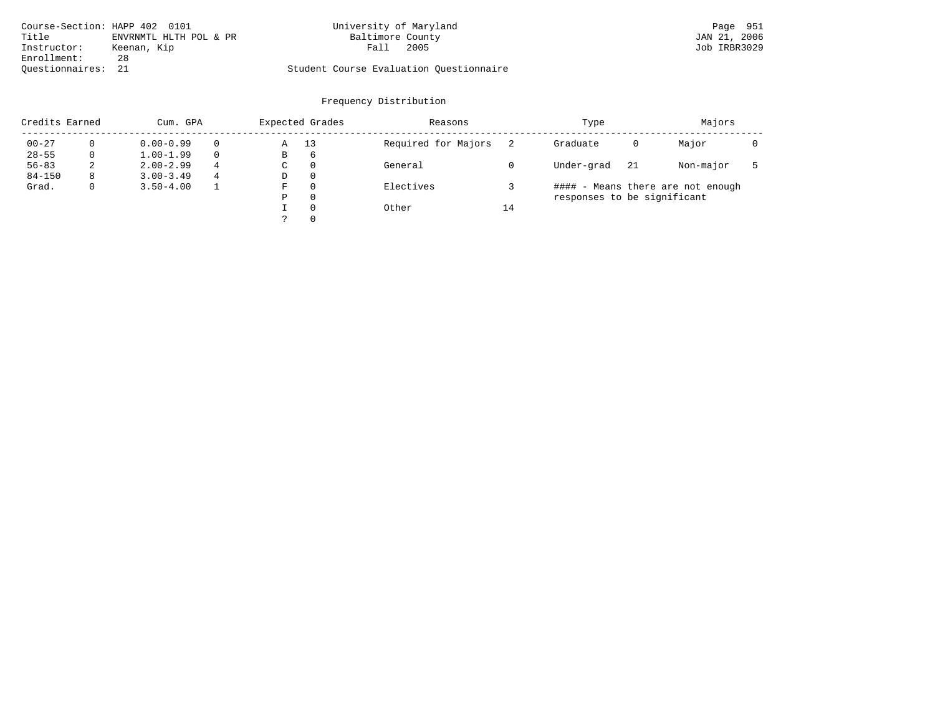|                    | Course-Section: HAPP 402 0101 | University of Maryland                  | Page 951     |
|--------------------|-------------------------------|-----------------------------------------|--------------|
| Title              | ENVRNMTL HLTH POL & PR        | Baltimore County                        | JAN 21, 2006 |
| Instructor:        | Keenan, Kip                   | 2005<br>Fall                            | Job IRBR3029 |
| Enrollment:        | 28                            |                                         |              |
| Ouestionnaires: 21 |                               | Student Course Evaluation Ouestionnaire |              |

| Credits Earned |   | Cum. GPA      |   |             | Expected Grades | Reasons             |    | Type                        | Majors |                                   |  |
|----------------|---|---------------|---|-------------|-----------------|---------------------|----|-----------------------------|--------|-----------------------------------|--|
| $00 - 27$      | 0 | $0.00 - 0.99$ |   | Α           | 13              | Required for Majors |    | Graduate                    | 0      | Major                             |  |
| $28 - 55$      | 0 | $1.00 - 1.99$ |   | В           | 6               |                     |    |                             |        |                                   |  |
| $56 - 83$      | 2 | $2.00 - 2.99$ | 4 | $\sim$<br>◡ | 0               | General             |    | Under-grad                  | 21     | Non-major                         |  |
| $84 - 150$     | 8 | $3.00 - 3.49$ | 4 | D           | 0               |                     |    |                             |        |                                   |  |
| Grad.          | 0 | $3.50 - 4.00$ |   | F           |                 | Electives           |    |                             |        | #### - Means there are not enough |  |
|                |   |               |   | Ρ           | 0               |                     |    | responses to be significant |        |                                   |  |
|                |   |               |   |             | $\Omega$        | Other               | 14 |                             |        |                                   |  |
|                |   |               |   | っ           | 0               |                     |    |                             |        |                                   |  |